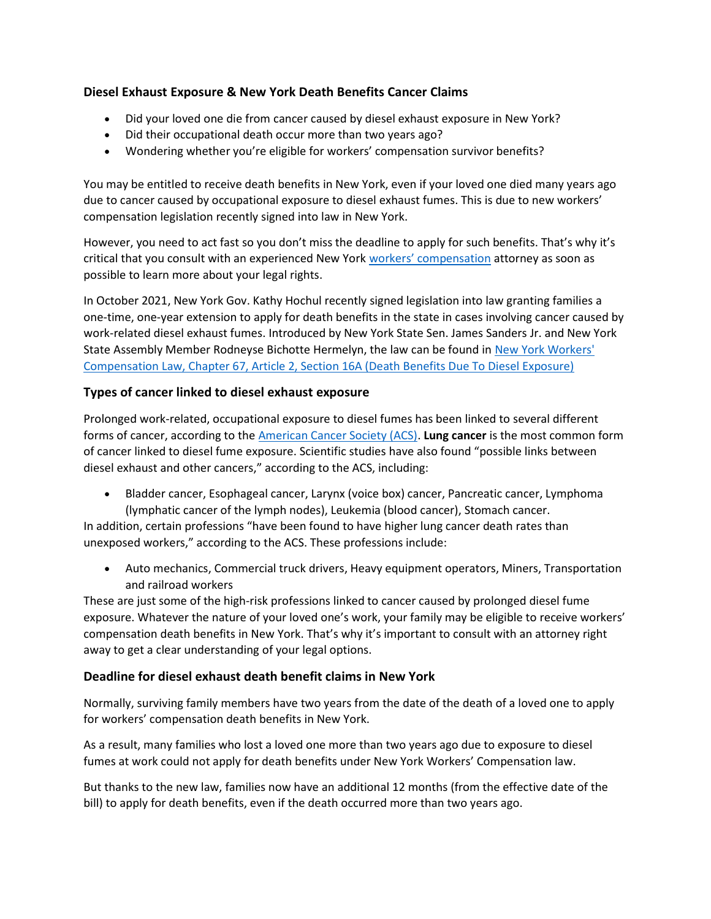# Diesel Exhaust Exposure & New York Death Benefits Cancer Claims

- Did your loved one die from cancer caused by diesel exhaust exposure in New York?
- Did their occupational death occur more than two years ago?
- Wondering whether you're eligible for workers' compensation survivor benefits?

You may be entitled to receive death benefits in New York, even if your loved one died many years ago due to cancer caused by occupational exposure to diesel exhaust fumes. This is due to new workers' compensation legislation recently signed into law in New York.

However, you need to act fast so you don't miss the deadline to apply for such benefits. That's why it's critical that you consult with an experienced New York workers' compensation attorney as soon as possible to learn more about your legal rights.

In October 2021, New York Gov. Kathy Hochul recently signed legislation into law granting families a one-time, one-year extension to apply for death benefits in the state in cases involving cancer caused by work-related diesel exhaust fumes. Introduced by New York State Sen. James Sanders Jr. and New York State Assembly Member Rodneyse Bichotte Hermelyn, the law can be found in New York Workers' Compensation Law, Chapter 67, Article 2, Section 16A (Death Benefits Due To Diesel Exposure)

## Types of cancer linked to diesel exhaust exposure

Prolonged work-related, occupational exposure to diesel fumes has been linked to several different forms of cancer, according to the American Cancer Society (ACS). Lung cancer is the most common form of cancer linked to diesel fume exposure. Scientific studies have also found "possible links between diesel exhaust and other cancers," according to the ACS, including:

 Bladder cancer, Esophageal cancer, Larynx (voice box) cancer, Pancreatic cancer, Lymphoma (lymphatic cancer of the lymph nodes), Leukemia (blood cancer), Stomach cancer.

In addition, certain professions "have been found to have higher lung cancer death rates than unexposed workers," according to the ACS. These professions include:

 Auto mechanics, Commercial truck drivers, Heavy equipment operators, Miners, Transportation and railroad workers

These are just some of the high-risk professions linked to cancer caused by prolonged diesel fume exposure. Whatever the nature of your loved one's work, your family may be eligible to receive workers' compensation death benefits in New York. That's why it's important to consult with an attorney right away to get a clear understanding of your legal options.

## Deadline for diesel exhaust death benefit claims in New York

Normally, surviving family members have two years from the date of the death of a loved one to apply for workers' compensation death benefits in New York.

As a result, many families who lost a loved one more than two years ago due to exposure to diesel fumes at work could not apply for death benefits under New York Workers' Compensation law.

But thanks to the new law, families now have an additional 12 months (from the effective date of the bill) to apply for death benefits, even if the death occurred more than two years ago.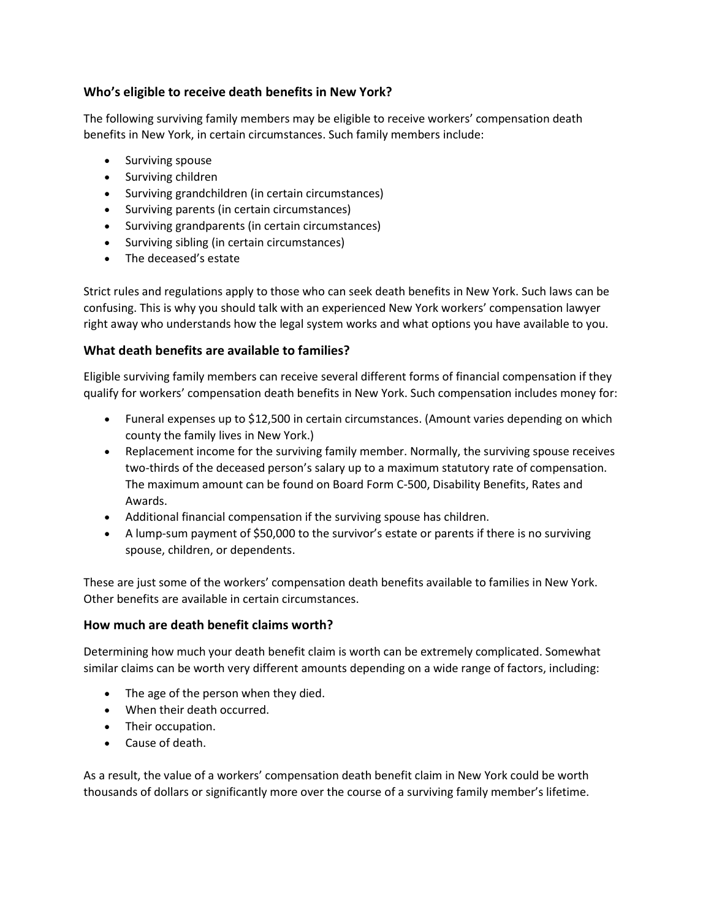## Who's eligible to receive death benefits in New York?

The following surviving family members may be eligible to receive workers' compensation death benefits in New York, in certain circumstances. Such family members include:

- Surviving spouse
- Surviving children
- Surviving grandchildren (in certain circumstances)
- Surviving parents (in certain circumstances)
- Surviving grandparents (in certain circumstances)
- Surviving sibling (in certain circumstances)
- The deceased's estate

Strict rules and regulations apply to those who can seek death benefits in New York. Such laws can be confusing. This is why you should talk with an experienced New York workers' compensation lawyer right away who understands how the legal system works and what options you have available to you.

## What death benefits are available to families?

Eligible surviving family members can receive several different forms of financial compensation if they qualify for workers' compensation death benefits in New York. Such compensation includes money for:

- Funeral expenses up to \$12,500 in certain circumstances. (Amount varies depending on which county the family lives in New York.)
- Replacement income for the surviving family member. Normally, the surviving spouse receives two-thirds of the deceased person's salary up to a maximum statutory rate of compensation. The maximum amount can be found on Board Form C-500, Disability Benefits, Rates and Awards.
- Additional financial compensation if the surviving spouse has children.
- A lump-sum payment of \$50,000 to the survivor's estate or parents if there is no surviving spouse, children, or dependents.

These are just some of the workers' compensation death benefits available to families in New York. Other benefits are available in certain circumstances.

## How much are death benefit claims worth?

Determining how much your death benefit claim is worth can be extremely complicated. Somewhat similar claims can be worth very different amounts depending on a wide range of factors, including:

- The age of the person when they died.
- When their death occurred.
- Their occupation.
- Cause of death.

As a result, the value of a workers' compensation death benefit claim in New York could be worth thousands of dollars or significantly more over the course of a surviving family member's lifetime.